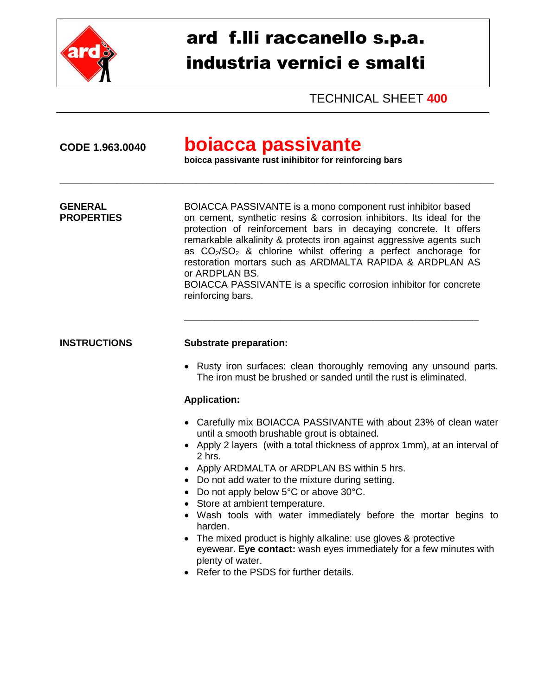

# ard f.lli raccanello s.p.a. industria vernici e smalti

TECHNICAL SHEET **400**

## **CODE 1.963.0040 boiacca passivante**

**boicca passivante rust inihibitor for reinforcing bars**

\_\_\_\_\_\_\_\_\_\_\_\_\_\_\_\_\_\_\_\_\_\_\_\_\_\_\_\_\_\_\_\_\_\_\_\_\_\_\_\_\_\_\_\_\_\_\_\_\_\_\_\_\_\_\_\_\_\_\_\_\_\_\_\_\_\_\_\_\_\_\_\_\_\_\_\_\_\_\_\_\_\_\_\_\_\_\_\_\_\_\_\_\_\_\_\_\_\_\_

**GENERAL BOIACCA PASSIVANTE is a mono component rust inhibitor based PROPERTIES** on cement, synthetic resins & corrosion inhibitors. Its ideal for the protection of reinforcement bars in decaying concrete. It offers remarkable alkalinity & protects iron against aggressive agents such as  $CO<sub>2</sub>/SO<sub>2</sub>$  & chlorine whilst offering a perfect anchorage for restoration mortars such as ARDMALTA RAPIDA & ARDPLAN AS or ARDPLAN BS. BOIACCA PASSIVANTE is a specific corrosion inhibitor for concrete reinforcing bars.

#### **INSTRUCTIONS Substrate preparation:**

• Rusty iron surfaces: clean thoroughly removing any unsound parts. The iron must be brushed or sanded until the rust is eliminated.

\_\_\_\_\_\_\_\_\_\_\_\_\_\_\_\_\_\_\_\_\_\_\_\_\_\_\_\_\_\_\_\_\_\_\_\_\_\_\_\_\_\_\_\_\_\_\_\_\_\_\_\_\_\_\_\_\_\_\_\_\_\_\_\_\_\_\_

#### **Application:**

- Carefully mix BOIACCA PASSIVANTE with about 23% of clean water until a smooth brushable grout is obtained.
- Apply 2 layers (with a total thickness of approx 1mm), at an interval of 2 hrs.
- Apply ARDMALTA or ARDPLAN BS within 5 hrs.
- Do not add water to the mixture during setting.
- Do not apply below 5°C or above 30°C.
- Store at ambient temperature.
- Wash tools with water immediately before the mortar begins to harden.
- The mixed product is highly alkaline: use gloves & protective eyewear. **Eye contact:** wash eyes immediately for a few minutes with plenty of water.
- Refer to the PSDS for further details.